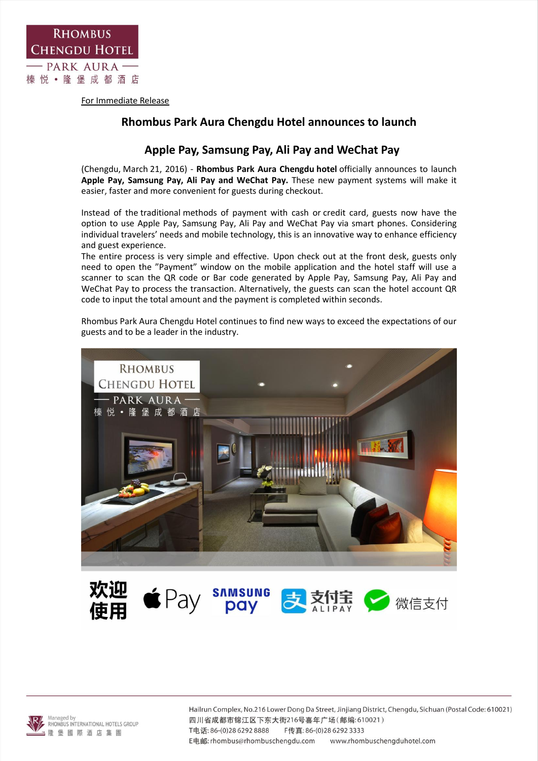

For Immediate Release

## **Rhombus Park Aura Chengdu Hotel announces to launch**

## **Apple Pay, Samsung Pay, Ali Pay and WeChat Pay**

(Chengdu, March 21, 2016) - **Rhombus Park Aura Chengdu hotel** officially announces to launch **Apple Pay, Samsung Pay, Ali Pay and WeChat Pay.** These new payment systems will make it easier, faster and more convenient for guests during checkout.

Instead of the traditional methods of payment with cash or credit card, guests now have the option to use Apple Pay, Samsung Pay, Ali Pay and WeChat Pay via smart phones. Considering individual travelers' needs and mobile technology, this is an innovative way to enhance efficiency and guest experience.

The entire process is very simple and effective. Upon check out at the front desk, guests only need to open the "Payment" window on the mobile application and the hotel staff will use a scanner to scan the QR code or Bar code generated by Apple Pay, Samsung Pay, Ali Pay and WeChat Pay to process the transaction. Alternatively, the guests can scan the hotel account QR code to input the total amount and the payment is completed within seconds.

Rhombus Park Aura Chengdu Hotel continues to find new ways to exceed the expectations of our guests and to be a leader in the industry.



**ই 10 xx 2 微信支付** pay



Hailrun Complex, No.216 Lower Dong Da Street, Jinjiang District, Chengdu, Sichuan (Postal Code: 610021) 四川省成都市锦江区下东大街216号喜年广场(邮编:610021) T电话: 86-(0)28 6292 8888 F传真: 86-(0)28 6292 3333 E电邮: rhombus@rhombuschengdu.com www.rhombuschengduhotel.com